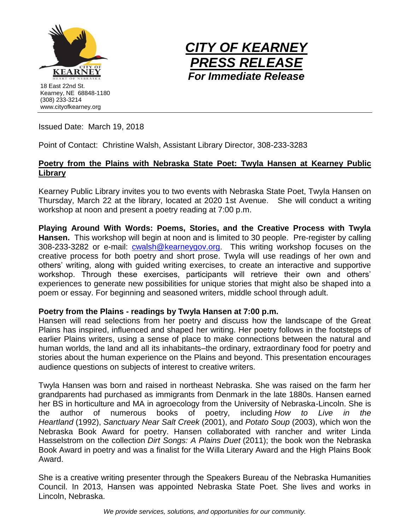



Issued Date: March 19, 2018

Point of Contact: Christine Walsh, Assistant Library Director, 308-233-3283

## **Poetry from the Plains with Nebraska State Poet: Twyla Hansen at Kearney Public Library**

Kearney Public Library invites you to two events with Nebraska State Poet, Twyla Hansen on Thursday, March 22 at the library, located at 2020 1st Avenue. She will conduct a writing workshop at noon and present a poetry reading at 7:00 p.m.

**Playing Around With Words: Poems, Stories, and the Creative Process with Twyla Hansen.** This workshop will begin at noon and is limited to 30 people. Pre-register by calling 308-233-3282 or e-mail: [cwalsh@kearneygov.org.](mailto:cwalsh@kearneygov.org) This writing workshop focuses on the creative process for both poetry and short prose. Twyla will use readings of her own and others' writing, along with guided writing exercises, to create an interactive and supportive workshop. Through these exercises, participants will retrieve their own and others' experiences to generate new possibilities for unique stories that might also be shaped into a poem or essay. For beginning and seasoned writers, middle school through adult.

## **Poetry from the Plains - readings by Twyla Hansen at 7:00 p.m.**

Hansen will read selections from her poetry and discuss how the landscape of the Great Plains has inspired, influenced and shaped her writing. Her poetry follows in the footsteps of earlier Plains writers, using a sense of place to make connections between the natural and human worlds, the land and all its inhabitants–the ordinary, extraordinary food for poetry and stories about the human experience on the Plains and beyond. This presentation encourages audience questions on subjects of interest to creative writers.

Twyla Hansen was born and raised in northeast Nebraska. She was raised on the farm her grandparents had purchased as immigrants from Denmark in the late 1880s. Hansen earned her BS in horticulture and MA in agroecology from the University of Nebraska-Lincoln. She is the author of numerous books of poetry, including *How to Live in the Heartland* (1992), *Sanctuary Near Salt Creek* (2001), and *Potato Soup* (2003), which won the Nebraska Book Award for poetry. Hansen collaborated with rancher and writer Linda Hasselstrom on the collection *Dirt Songs: A Plains Duet* (2011); the book won the Nebraska Book Award in poetry and was a finalist for the Willa Literary Award and the High Plains Book Award.

She is a creative writing presenter through the Speakers Bureau of the Nebraska Humanities Council. In 2013, Hansen was appointed Nebraska State Poet. She lives and works in Lincoln, Nebraska.